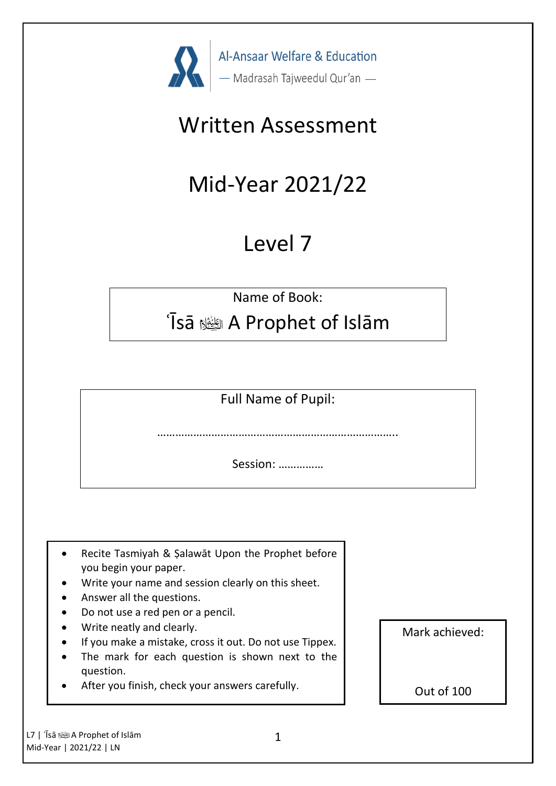

# Written Assessment

# Mid-Year 2021/22

# Level 7

Name of Book:

### ʿĪsā ؑ A Prophet of Islām

Full Name of Pupil:

……………………………………………………………………..

Session: ……………

- Recite Tasmiyah & Şalawāt Upon the Prophet before you begin your paper.
- Write your name and session clearly on this sheet.
- Answer all the questions.
- Do not use a red pen or a pencil.
- Write neatly and clearly.
- If you make a mistake, cross it out. Do not use Tippex.
- The mark for each question is shown next to the question.
- After you finish, check your answers carefully.

Mark achieved:

Out of 100

L7 | 'Īsā ﷺ A Prophet of Islām Mid-Year | 2021/22 | LN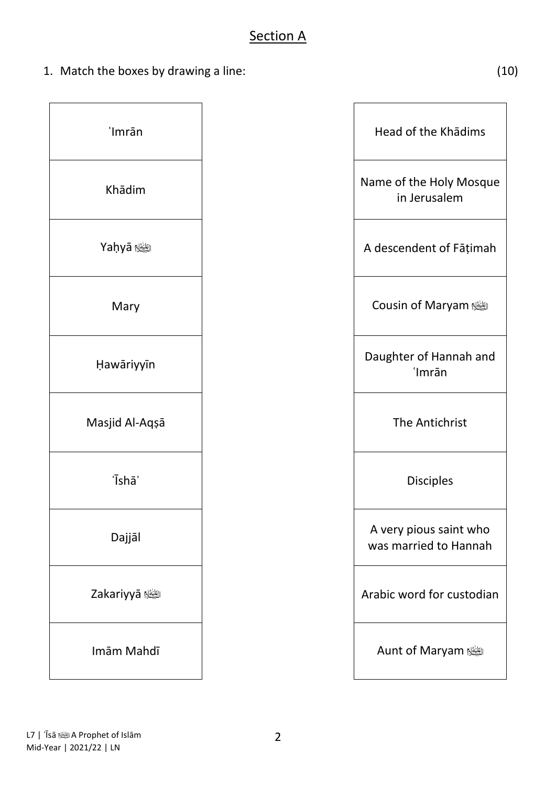1. Match the boxes by drawing a line: (10)

| 'Imrān         |
|----------------|
| Khādim         |
| <b>Maḥyā</b>   |
| Mary           |
| Hawāriyyīn     |
| Masjid Al-Aqșā |
| 'Īshā'         |
| Dajjāl         |
| Zakariyyā ﷺ    |
| Imām Mahdī     |

| 'Imrān                  | Head of the Khadims                             |
|-------------------------|-------------------------------------------------|
| Khādim                  | Name of the Holy Mosque<br>in Jerusalem         |
| <b>Yaḥyā</b> الطِّيَّةِ | A descendent of Fāṭimah                         |
| Mary                    | Cousin of Maryam                                |
| Hawāriyyīn              | Daughter of Hannah and<br>'Imrān                |
| Masjid Al-Aqşā          | The Antichrist                                  |
| 'Īshā'                  | <b>Disciples</b>                                |
| Dajjāl                  | A very pious saint who<br>was married to Hannah |
| الطِّيْعُلا Zakariyyā   | Arabic word for custodian                       |
| Imām Mahdī              | Aunt of Maryam                                  |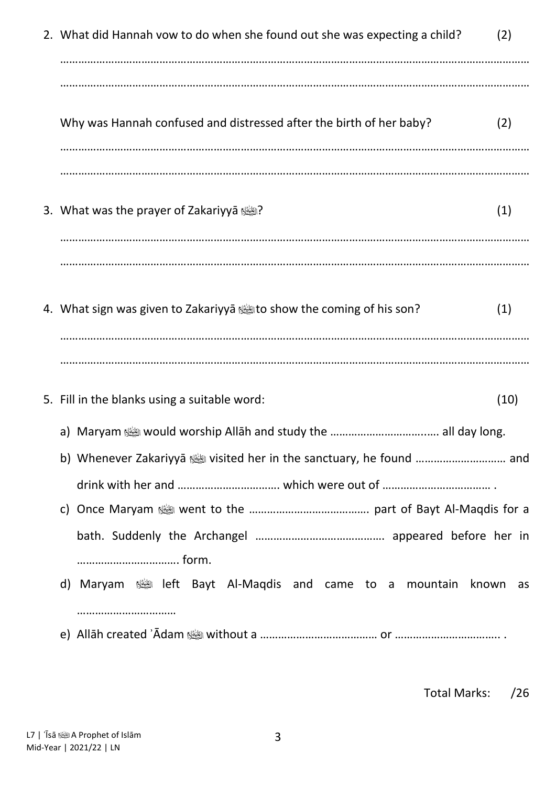| 2. What did Hannah vow to do when she found out she was expecting a child?               | (2)         |
|------------------------------------------------------------------------------------------|-------------|
| Why was Hannah confused and distressed after the birth of her baby?                      | (2)         |
| 3. What was the prayer of Zakariyyā آلِيَّيَّةِ؟                                         | (1)         |
| 4. What sign was given to Zakariyya 4 $\ddot{\mathbb{Z}}$ to show the coming of his son? | (1)         |
| 5. Fill in the blanks using a suitable word:                                             | (10)        |
|                                                                                          |             |
| form.                                                                                    |             |
| Maryam ﷺ left Bayt Al-Maqdis and came to a mountain<br>d)<br>                            | known<br>as |
|                                                                                          |             |

Total Marks: /26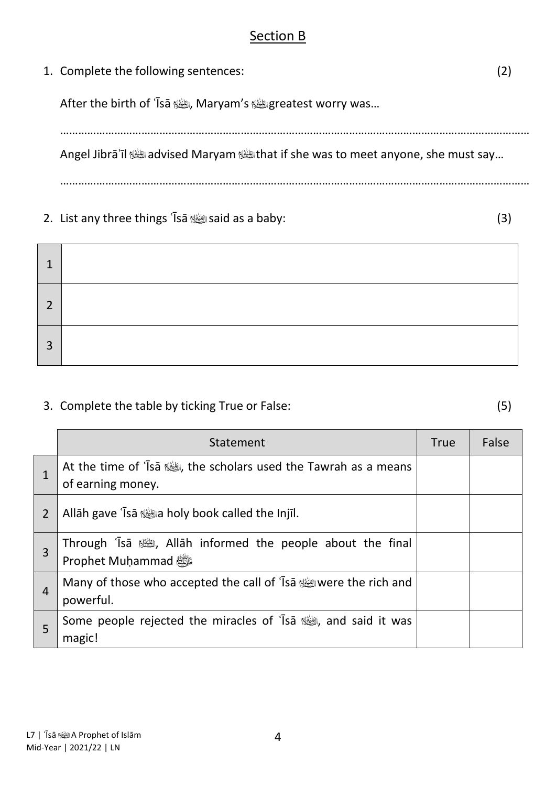#### Section B

1. Complete the following sentences: (2)

After the birth of `Īsā رائِعْة, Maryam's الشَّالة greatest worry was...

…………………………………………………………………………………………………………………………………………

Angel Jibrā'īl *was* advised Maryam **was if she was to meet anyone, she must say**...

…………………………………………………………………………………………………………………………………………

2. List any three things ʿĪsā said as a baby: (3)

| ำ |  |
|---|--|
| າ |  |
| 3 |  |

#### 3. Complete the table by ticking True or False: (5)

|                | Statement                                                                           | <b>True</b> | False |
|----------------|-------------------------------------------------------------------------------------|-------------|-------|
|                | At the time of 'Isa stime scholars used the Tawrah as a means<br>of earning money.  |             |       |
| $\overline{2}$ | Allāh gave 'Īsā ﷺ Allāh gave 'Īsā الشَّاء a holy book called the Injīl.             |             |       |
| 3              | Through 'Isa رائِعُة, Allāh informed the people about the final<br>Prophet Muḥammad |             |       |
| $\overline{4}$ | Wany of those who accepted the call of 'Isa were the rich and<br>powerful.          |             |       |
| 5              | Some people rejected the miracles of 'Isa stream', and said it was<br>magic!        |             |       |

4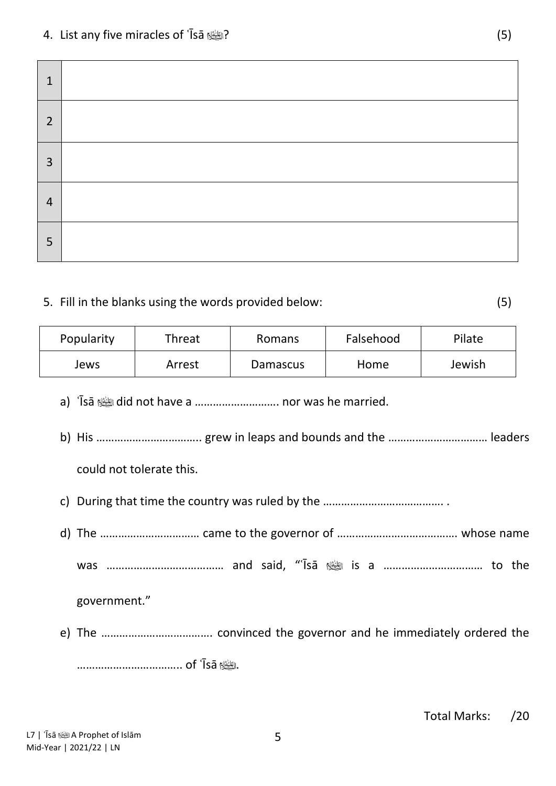#### 4. List any five miracles of ʿĪsā ? (5)

| $\mathbf{1}$   |  |
|----------------|--|
| $\overline{2}$ |  |
| $\overline{3}$ |  |
| $\overline{4}$ |  |
| 5              |  |

#### 5. Fill in the blanks using the words provided below: (5)

| Popularity | Threat | Romans   | Falsehood | Pilate |
|------------|--------|----------|-----------|--------|
| Jews       | Arrest | Damascus | Home      | Jewish |

- a) ʿĪsā did not have a ………………………. nor was he married.
- b) His …………………………….. grew in leaps and bounds and the …………………………… leaders could not tolerate this.
- c) During that time the country was ruled by the …………………………………. .
- d) The …………………………… came to the governor of …………………………………. whose name was ………………………………… and said, "ʿĪsā is a …………………………… to the government."
- e) The ………………………………. convinced the governor and he immediately ordered the …………………………….. of ʿĪsā .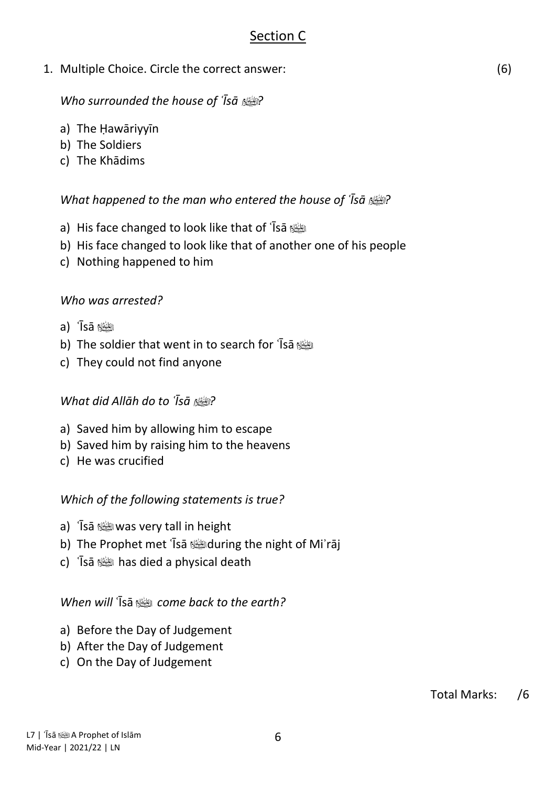#### Section C

1. Multiple Choice. Circle the correct answer: (6)

#### *Who surrounded the house of ʿĪsā ?*

- a) The Ḥawāriyyīn
- b) The Soldiers
- c) The Khādims

#### *What happened to the man who entered the house of ʿĪsā ?*

- a) His face changed to look like that of ʿĪsā
- b) His face changed to look like that of another one of his people
- c) Nothing happened to him

#### *Who was arrested?*

- a) ʿĪsā
- b) The soldier that went in to search for 'Isa
- c) They could not find anyone

#### *What did Allāh do to ʿĪsā ?*

- a) Saved him by allowing him to escape
- b) Saved him by raising him to the heavens
- c) He was crucified

### *Which of the following statements is true?*

- a) ʿĪsā was very tall in height
- b) The Prophet met ʿĪsā during the night of Miʾrāj
- c) ʿĪsā has died a physical death

#### *When will* ʿĪsā *come back to the earth?*

- a) Before the Day of Judgement
- b) After the Day of Judgement
- c) On the Day of Judgement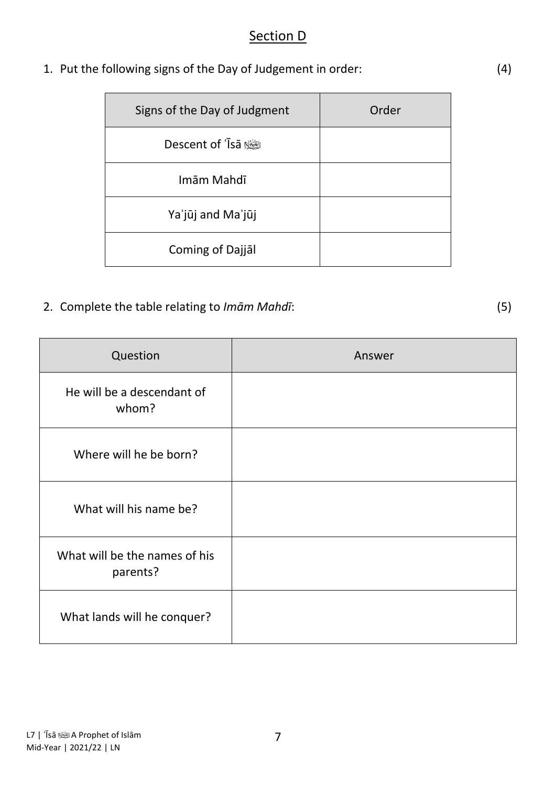#### Section D

| 1. Put the following signs of the Day of Judgement in order: | (4) |
|--------------------------------------------------------------|-----|
|                                                              |     |

| Signs of the Day of Judgment | Order |
|------------------------------|-------|
| Descent of 'Isa              |       |
| Imām Mahdī                   |       |
| Ya'jūj and Ma'jūj            |       |
| Coming of Dajjal             |       |

### 2. Complete the table relating to *Imām Mahdī*: (5)

| Question                                  | Answer |
|-------------------------------------------|--------|
| He will be a descendant of<br>whom?       |        |
| Where will he be born?                    |        |
| What will his name be?                    |        |
| What will be the names of his<br>parents? |        |
| What lands will he conquer?               |        |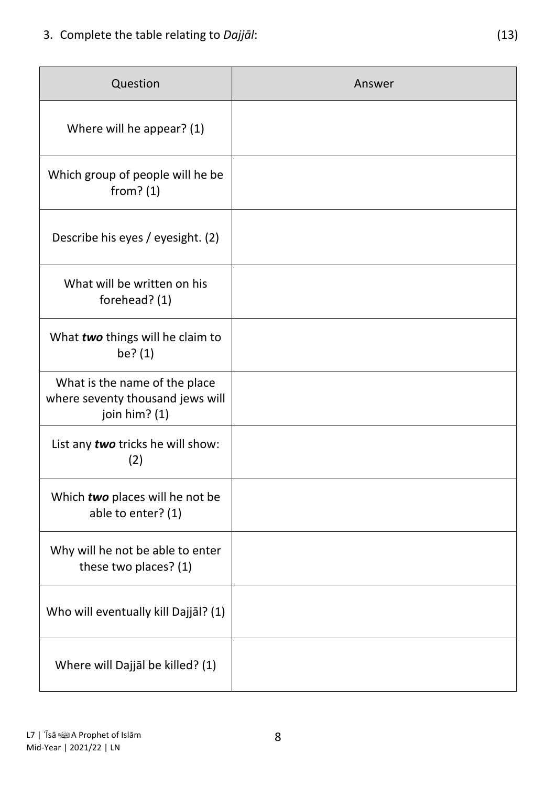| Question                                                                             | Answer |
|--------------------------------------------------------------------------------------|--------|
| Where will he appear? (1)                                                            |        |
| Which group of people will he be<br>from? $(1)$                                      |        |
| Describe his eyes / eyesight. (2)                                                    |        |
| What will be written on his<br>forehead? (1)                                         |        |
| What two things will he claim to<br>be? (1)                                          |        |
| What is the name of the place<br>where seventy thousand jews will<br>join him? $(1)$ |        |
| List any two tricks he will show:<br>(2)                                             |        |
| Which two places will he not be<br>able to enter? (1)                                |        |
| Why will he not be able to enter<br>these two places? (1)                            |        |
| Who will eventually kill Dajjāl? (1)                                                 |        |
| Where will Dajjāl be killed? (1)                                                     |        |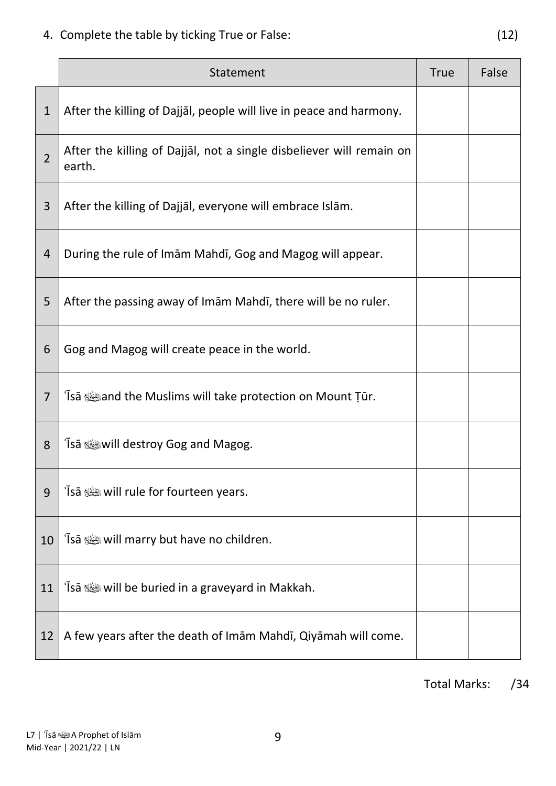4. Complete the table by ticking True or False: (12)

|                | Statement                                                                               | <b>True</b> | False |
|----------------|-----------------------------------------------------------------------------------------|-------------|-------|
| $\mathbf{1}$   | After the killing of Dajjal, people will live in peace and harmony.                     |             |       |
| $\overline{2}$ | After the killing of Dajjāl, not a single disbeliever will remain on<br>earth.          |             |       |
| 3              | After the killing of Dajjāl, everyone will embrace Islām.                               |             |       |
| $\overline{4}$ | During the rule of Imam Mahdi, Gog and Magog will appear.                               |             |       |
| 5              | After the passing away of Imam Mahdi, there will be no ruler.                           |             |       |
| 6              | Gog and Magog will create peace in the world.                                           |             |       |
| $\overline{7}$ | and the Muslims will take protection on Mount Tūr. ﴿ وَاللَّهُ وَإِنَّ الْمَسْتَلَامُ آ |             |       |
| 8              | 'Īsā ﷺ will destroy Gog and Magog.                                                      |             |       |
| 9              | 'Īsā ﷺ will rule for fourteen years.                                                    |             |       |
| 10             | 'Īsā ﷺ will marry but have no children.                                                 |             |       |
| 11             | 'Isā ﷺ will be buried in a graveyard in Makkah.                                         |             |       |
| 12             | A few years after the death of Imam Mahdī, Qiyamah will come.                           |             |       |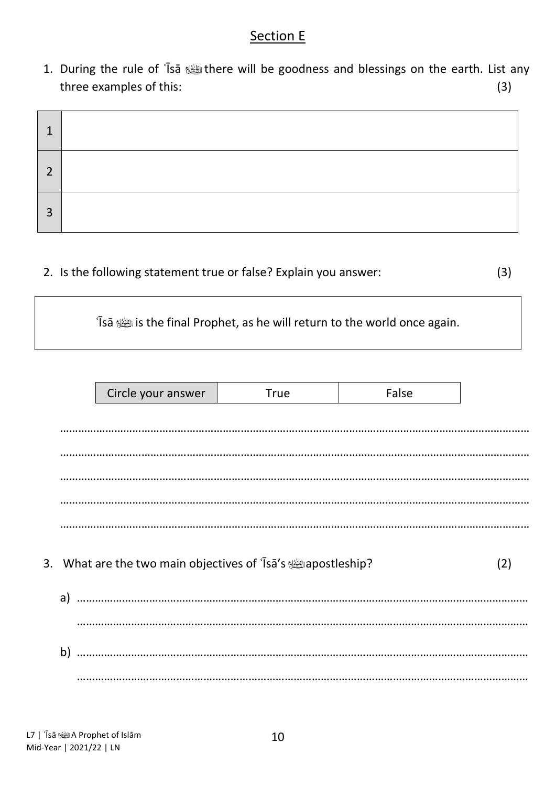### Section E

1. During the rule of 'Isa stime will be goodness and blessings on the earth. List any three examples of this: (3)

| ◠ |  |
|---|--|
| 3 |  |

2. Is the following statement true or false? Explain you answer: (3)

ʿĪsā is the final Prophet, as he will return to the world once again.

|    | Circle your answer                                           | <b>True</b> | False |     |
|----|--------------------------------------------------------------|-------------|-------|-----|
|    |                                                              |             |       |     |
|    |                                                              |             |       |     |
|    |                                                              |             |       |     |
|    |                                                              |             |       |     |
|    |                                                              |             |       |     |
|    |                                                              |             |       |     |
|    | 3. What are the two main objectives of 'Isa's suppostleship? |             |       | (2) |
|    |                                                              |             |       |     |
|    |                                                              |             |       |     |
| b) |                                                              |             |       |     |
|    |                                                              |             |       |     |